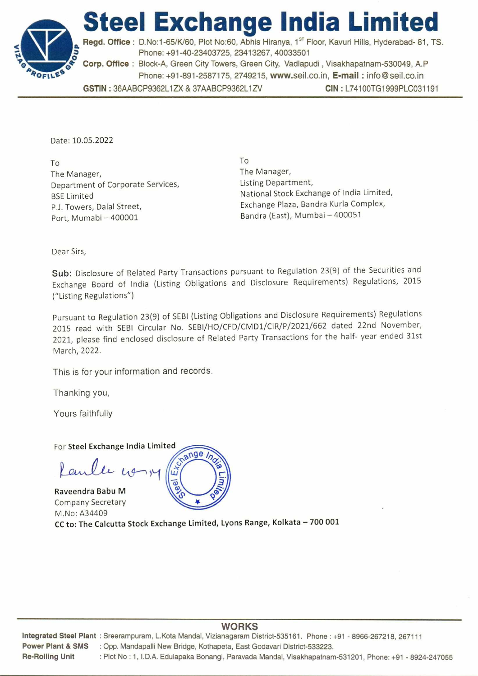

**Regd. Office : D.No:1-65/K/60, Plot No:60, Abhis Hiranya, 1<sup>st</sup> Floor, Kavuri Hills, Hyderabad- 81, TS.** Phone: +91-40-23403725, 23413267, 40033501 **4-Corp. Office :** Block-A, Green City Towers, Green City, Vadlapudi , Visakhapatnam-530049, A.P Phone: +91-891-2587175, 2749215, www.seil.co.in, **E-mail :** info@seil.co.in **GSTIN :** 36AABCP9362L1ZX & 37AABCP9362L1ZV **CIN :** L74100TG1999PLC031191

Date: 10.05.2022

**1),"**  ROFILE<sup>S</sup>

> To The Manager, Department of Corporate Services, BSE Limited P.J. Towers, Dalal Street, Port, Mumabi — 400001

To The Manager, Listing Department, National Stock Exchange of India Limited, Exchange Plaza, Bandra Kurla Complex, Bandra (East), Mumbai — 400051

Dear Sirs,

Sub: Disclosure of Related Party Transactions pursuant to Regulation 23(9) of the Securities and Exchange Board of India (Listing Obligations and Disclosure Requirements) Regulations, 2015 ("Listing Regulations")

Pursuant to Regulation 23(9) of SEBI (Listing Obligations and Disclosure Requirements) Regulations 2015 read with SEBI Circular No. SEBI/HO/CFD/CMD1/CIR/P/2021/662 dated 22nd November, 2021, please find enclosed disclosure of Related Party Transactions for the half- year ended 31st March, 2022.

This is for your information and records.

Thanking you,

Yours faithfully

For Steel Exchange India Limited

Laule no

Raveendra Babu M Company Secretary M.No: A34409



CC to: The Calcutta Stock Exchange Limited, Lyons Range, Kolkata — 700 001

## **WORKS**

**Integrated Steel Plant :** Sreerampuram, L.Kota Mandal, Vizianagaram District-535161. Phone : +91 - 8966-267218, 267111 **Power Plant & SMS :** Opp. Mandapalli New Bridge, Kothapeta, East Godavari District-533223. **Re-Rolling Unit :** Plot No : 1, I.D.A. Edulapaka Bonangi, Paravada Mandal, Visakhapatnam-531201, Phone: +91 - 8924-247055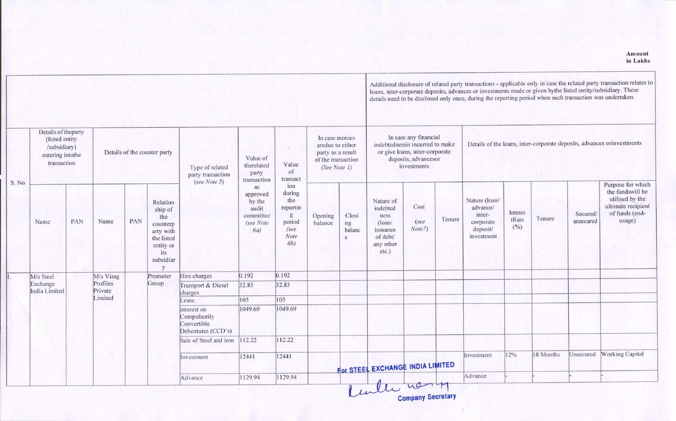Additional disclosure of related party transactions - applicable only in case the related party transaction relates to loans, inter-corporate deposits, advances or investments made or given bythe listed entity/subsidiary. These details need to be disclosed only once, during the reporting period when such transaction was undertaken. Details of theparty In case any financial (listed entity In case monies Details of the loans, inter-corporate deposits, advances orinvestments indcbtednessis incurred to make aredue to either /subsidiary)  $\sim$ or give loans, inter-corporate Details of the counter party party as a result entering intothe Value of of the transaction deposits, advancesor transaction Value therelated investments Type of related (See Note 1) of party party transaction transact transaction (see Note 5) S. No Purpose for which ion as the fundswill be during approved utilised by the Nature (loan/ by the the Nature of Relation ultimate recipient Cost reportin advance/ audit indebted ship of **Interes** of funds (end-Secured/ intercommittee g Opening Closi ness the Tenure Tenure tRate usage) PAN Name **PAN** (see unsecured Name period corporate (see Note balance (loan/ ng counterp  $(%)$ Note?) deposit/ 6a) (see balanc issuance arty with Note investment of debt/ e the listed 6b) any other entity or etc.) its subsidiar y 0.192 0.192 M/s Vizag Hire charges M/s Steel Promoter Exchange Profiles Group Transport & Diesel 32.83 32.83 India Limited Private charges Limited 105 105 Lease 1049.69 1049.69 interest on Compulsorily Convertible Debentures (CCD's) 112.22 112.22 Sale of Steel and iron Unsecured Working Capital 12% 18 Months 12441 12441 Investment Investment **OF STEEL EXCHANGE INDIA LIMITED** Advance 1129.94 1129.94 Advance Leader hard H /1